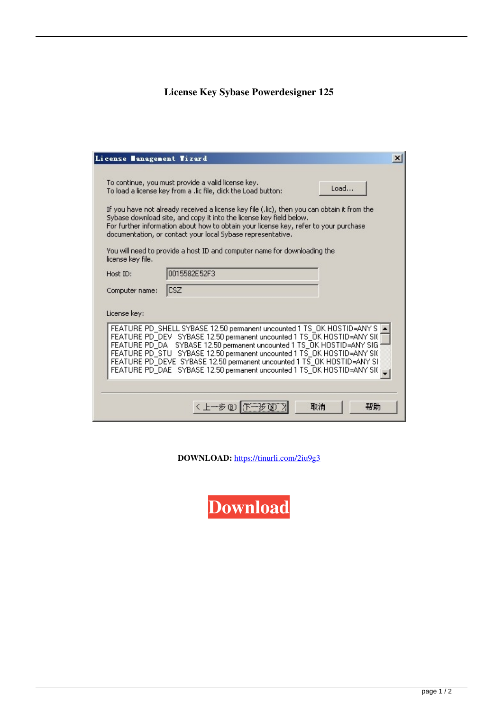## **License Key Sybase Powerdesigner 125**

| License Management Wizard                                                                                                                                                                                                                                                                                                                                                                                                                                               |                                                                                                                                                                                                                                                                                                                                                                                                                                                                                                                                       |  |
|-------------------------------------------------------------------------------------------------------------------------------------------------------------------------------------------------------------------------------------------------------------------------------------------------------------------------------------------------------------------------------------------------------------------------------------------------------------------------|---------------------------------------------------------------------------------------------------------------------------------------------------------------------------------------------------------------------------------------------------------------------------------------------------------------------------------------------------------------------------------------------------------------------------------------------------------------------------------------------------------------------------------------|--|
| license key file.                                                                                                                                                                                                                                                                                                                                                                                                                                                       | To continue, you must provide a valid license key.<br>Load<br>To load a license key from a .lic file, click the Load button:<br>If you have not already received a license key file (,lic), then you can obtain it from the<br>Sybase download site, and copy it into the license key field below.<br>For further information about how to obtain your license key, refer to your purchase<br>documentation, or contact your local Sybase representative.<br>You will need to provide a host ID and computer name for downloading the |  |
| Host ID:                                                                                                                                                                                                                                                                                                                                                                                                                                                                | 0015582E52F3                                                                                                                                                                                                                                                                                                                                                                                                                                                                                                                          |  |
| Computer name:                                                                                                                                                                                                                                                                                                                                                                                                                                                          | <b>CSZ</b>                                                                                                                                                                                                                                                                                                                                                                                                                                                                                                                            |  |
| License key:<br>FEATURE PD_SHELL SYBASE 12.50 permanent uncounted 1 TS_OK HOSTID=ANY S<br>FEATURE PD_DEV SYBASE 12.50 permanent uncounted 1 TS_OK HOSTID=ANY SI(<br>FEATURE PD DA SYBASE 12.50 permanent uncounted 1 TS OK HOSTID=ANY SIG<br>FEATURE PD_STU SYBASE 12.50 permanent uncounted 1 TS_OK HOSTID=ANY SI(<br>FEATURE PD_DEVE_SYBASE 12.50 permanent uncounted 1 TS_OK HOSTID=ANY SI<br>FEATURE PD_DAE SYBASE 12.50 permanent uncounted 1 TS_OK HOSTID=ANY SI( |                                                                                                                                                                                                                                                                                                                                                                                                                                                                                                                                       |  |
|                                                                                                                                                                                                                                                                                                                                                                                                                                                                         |                                                                                                                                                                                                                                                                                                                                                                                                                                                                                                                                       |  |
|                                                                                                                                                                                                                                                                                                                                                                                                                                                                         | 取消<br>帮助<br>〈 上一步(B)                                                                                                                                                                                                                                                                                                                                                                                                                                                                                                                  |  |

**DOWNLOAD:** <https://tinurli.com/2iu9g3>